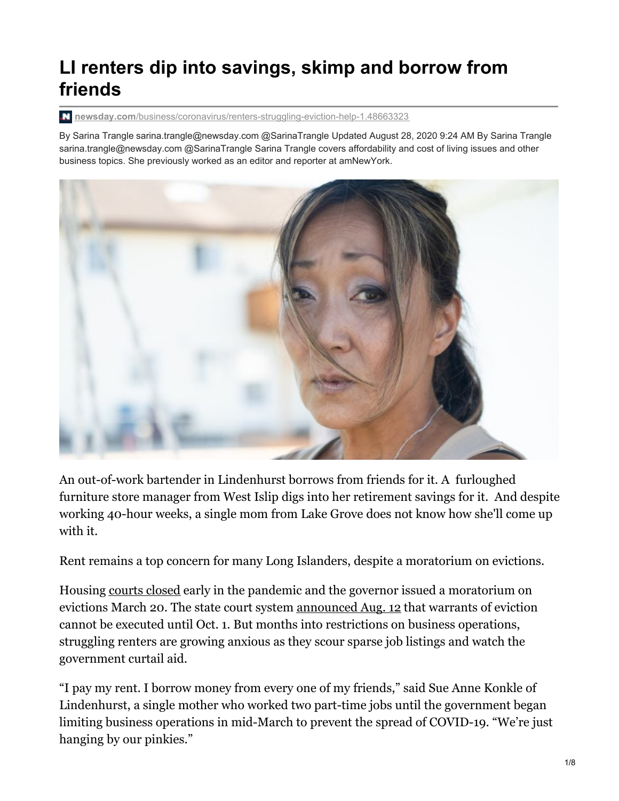# **LI renters dip into savings, skimp and borrow from friends**

**newsday.com**[/business/coronavirus/renters-struggling-eviction-help-1.48663323](https://www.newsday.com/business/coronavirus/renters-struggling-eviction-help-1.48663323)

By Sarina Trangle sarina.trangle@newsday.com @SarinaTrangle Updated August 28, 2020 9:24 AM By Sarina Trangle sarina.trangle@newsday.com @SarinaTrangle Sarina Trangle covers affordability and cost of living issues and other business topics. She previously worked as an editor and reporter at amNewYork.



An out-of-work bartender in Lindenhurst borrows from friends for it. A furloughed furniture store manager from West Islip digs into her retirement savings for it. And despite working 40-hour weeks, a single mom from Lake Grove does not know how she'll come up with it.

Rent remains a top concern for many Long Islanders, despite a moratorium on evictions.

Housing [courts](https://www.nycourts.gov/whatsnew/pdf/Updated-Protocol-AttachmentA3.pdf) closed early in the pandemic and the governor issued a moratorium on evictions March 20. The state court system [announced](https://legalaidnyc.org/wp-content/uploads/2020/08/Rev_Ev_8_12.pdf) Aug. 12 that warrants of eviction cannot be executed until Oct. 1. But months into restrictions on business operations, struggling renters are growing anxious as they scour sparse job listings and watch the government curtail aid.

"I pay my rent. I borrow money from every one of my friends," said Sue Anne Konkle of Lindenhurst, a single mother who worked two part-time jobs until the government began limiting business operations in mid-March to prevent the spread of COVID-19. "We're just hanging by our pinkies."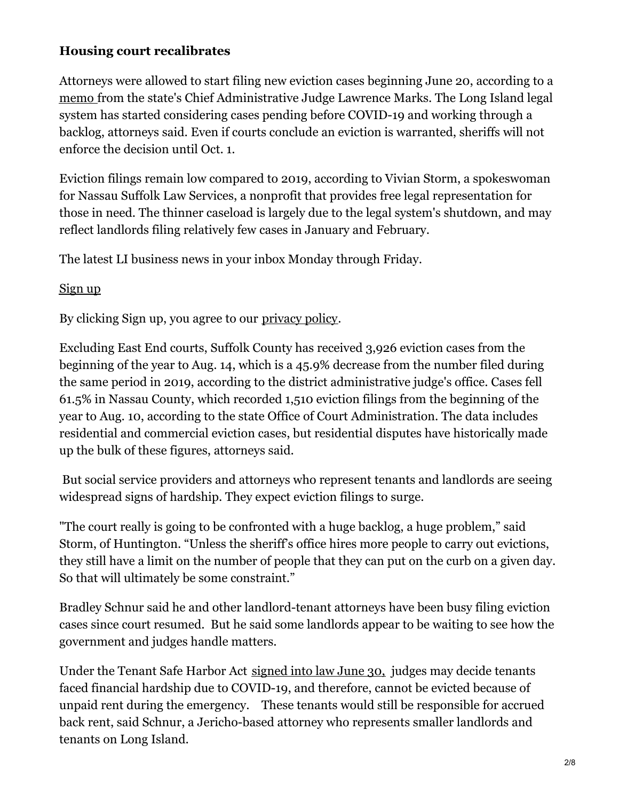## **Housing court recalibrates**

Attorneys were allowed to start filing new eviction cases beginning June 20, according to a [memo](https://www.nycourts.gov/whatsnew/pdf/2020_06_18_15_16_44.pdf) from the state's Chief Administrative Judge Lawrence Marks. The Long Island legal system has started considering cases pending before COVID-19 and working through a backlog, attorneys said. Even if courts conclude an eviction is warranted, sheriffs will not enforce the decision until Oct. 1.

Eviction filings remain low compared to 2019, according to Vivian Storm, a spokeswoman for Nassau Suffolk Law Services, a nonprofit that provides free legal representation for those in need. The thinner caseload is largely due to the legal system's shutdown, and may reflect landlords filing relatively few cases in January and February.

The latest LI business news in your inbox Monday through Friday.

#### <span id="page-1-0"></span>[Sign](#page-1-0) up

By clicking Sign up, you agree to our [privacy](https://www.newsday.com/privacy) policy.

Excluding East End courts, Suffolk County has received 3,926 eviction cases from the beginning of the year to Aug. 14, which is a 45.9% decrease from the number filed during the same period in 2019, according to the district administrative judge's office. Cases fell 61.5% in Nassau County, which recorded 1,510 eviction filings from the beginning of the year to Aug. 10, according to the state Office of Court Administration. The data includes residential and commercial eviction cases, but residential disputes have historically made up the bulk of these figures, attorneys said.

But social service providers and attorneys who represent tenants and landlords are seeing widespread signs of hardship. They expect eviction filings to surge.

"The court really is going to be confronted with a huge backlog, a huge problem," said Storm, of Huntington. "Unless the sheriff's office hires more people to carry out evictions, they still have a limit on the number of people that they can put on the curb on a given day. So that will ultimately be some constraint."

Bradley Schnur said he and other landlord-tenant attorneys have been busy filing eviction cases since court resumed. But he said some landlords appear to be waiting to see how the government and judges handle matters.

Under the Tenant Safe Harbor Act [signed](https://www.nysenate.gov/newsroom/press-releases/brad-hoylman/tenant-safe-harbor-act-sponsored-senator-brad-hoylman-signed) into law June 30, judges may decide tenants faced financial hardship due to COVID-19, and therefore, cannot be evicted because of unpaid rent during the emergency. These tenants would still be responsible for accrued back rent, said Schnur, a Jericho-based attorney who represents smaller landlords and tenants on Long Island.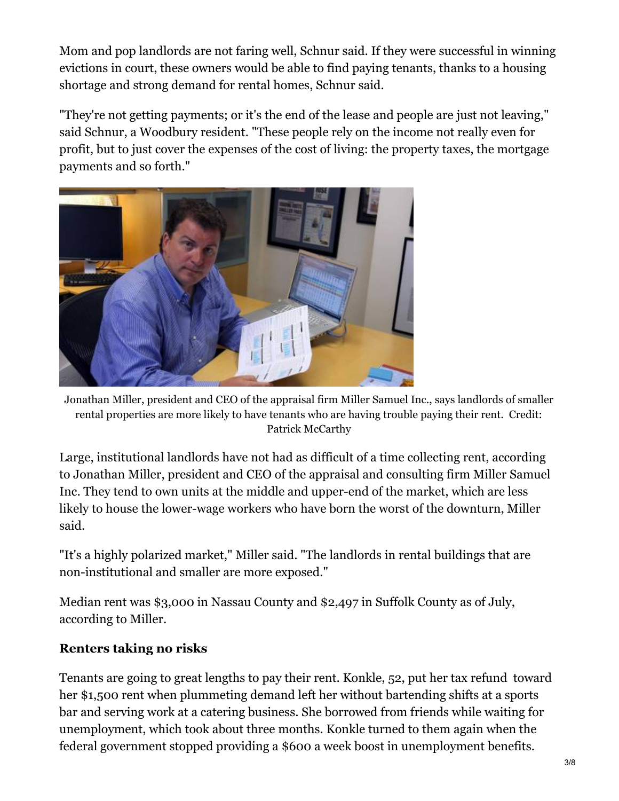Mom and pop landlords are not faring well, Schnur said. If they were successful in winning evictions in court, these owners would be able to find paying tenants, thanks to a housing shortage and strong demand for rental homes, Schnur said.

"They're not getting payments; or it's the end of the lease and people are just not leaving," said Schnur, a Woodbury resident. "These people rely on the income not really even for profit, but to just cover the expenses of the cost of living: the property taxes, the mortgage payments and so forth."



Jonathan Miller, president and CEO of the appraisal firm Miller Samuel Inc., says landlords of smaller rental properties are more likely to have tenants who are having trouble paying their rent. Credit: Patrick McCarthy

Large, institutional landlords have not had as difficult of a time collecting rent, according to Jonathan Miller, president and CEO of the appraisal and consulting firm Miller Samuel Inc. They tend to own units at the middle and upper-end of the market, which are less likely to house the lower-wage workers who have born the worst of the downturn, Miller said.

"It's a highly polarized market," Miller said. "The landlords in rental buildings that are non-institutional and smaller are more exposed."

Median rent was \$3,000 in Nassau County and \$2,497 in Suffolk County as of July, according to Miller.

# **Renters taking no risks**

Tenants are going to great lengths to pay their rent. Konkle, 52, put her tax refund toward her \$1,500 rent when plummeting demand left her without bartending shifts at a sports bar and serving work at a catering business. She borrowed from friends while waiting for unemployment, which took about three months. Konkle turned to them again when the federal government stopped providing a \$600 a week boost in unemployment benefits.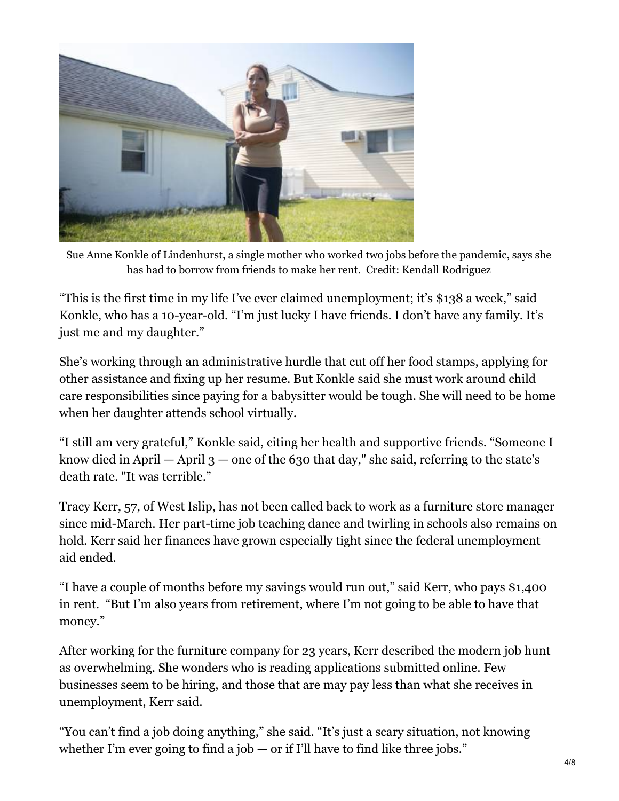

Sue Anne Konkle of Lindenhurst, a single mother who worked two jobs before the pandemic, says she has had to borrow from friends to make her rent. Credit: Kendall Rodriguez

"This is the first time in my life I've ever claimed unemployment; it's \$138 a week," said Konkle, who has a 10-year-old. "I'm just lucky I have friends. I don't have any family. It's just me and my daughter."

She's working through an administrative hurdle that cut off her food stamps, applying for other assistance and fixing up her resume. But Konkle said she must work around child care responsibilities since paying for a babysitter would be tough. She will need to be home when her daughter attends school virtually.

"I still am very grateful," Konkle said, citing her health and supportive friends. "Someone I know died in April  $-$  April 3  $-$  one of the 630 that day," she said, referring to the state's death rate. "It was terrible."

Tracy Kerr, 57, of West Islip, has not been called back to work as a furniture store manager since mid-March. Her part-time job teaching dance and twirling in schools also remains on hold. Kerr said her finances have grown especially tight since the federal unemployment aid ended.

"I have a couple of months before my savings would run out," said Kerr, who pays \$1,400 in rent. "But I'm also years from retirement, where I'm not going to be able to have that money."

After working for the furniture company for 23 years, Kerr described the modern job hunt as overwhelming. She wonders who is reading applications submitted online. Few businesses seem to be hiring, and those that are may pay less than what she receives in unemployment, Kerr said.

"You can't find a job doing anything," she said. "It's just a scary situation, not knowing whether I'm ever going to find a job  $-$  or if I'll have to find like three jobs."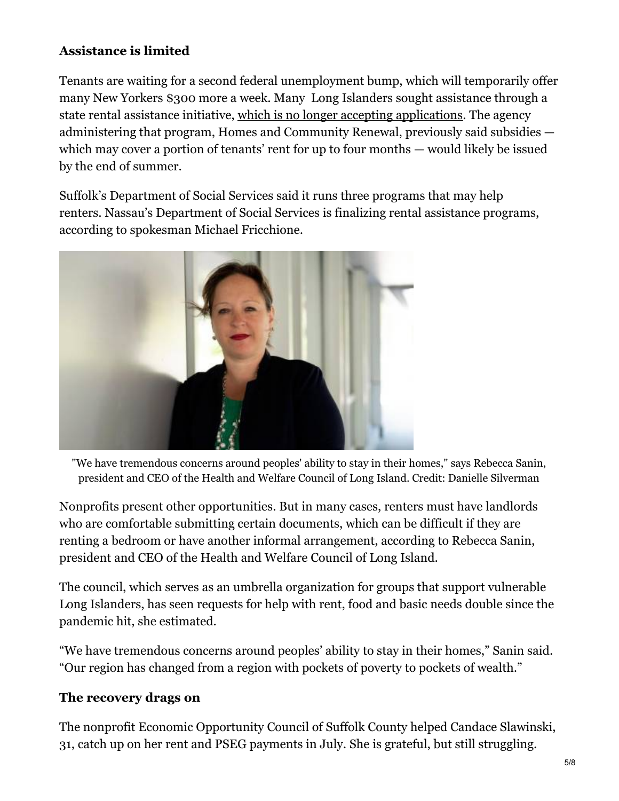# **Assistance is limited**

Tenants are waiting for a second federal unemployment bump, which will temporarily offer many New Yorkers \$300 more a week. Many Long Islanders sought assistance through a state rental assistance initiative, which is no longer accepting [applications](https://www.newsday.com/business/coronavirus/rent-relief-tenant-landlord-york-1.47567897). The agency administering that program, Homes and Community Renewal, previously said subsidies which may cover a portion of tenants' rent for up to four months — would likely be issued by the end of summer.

Suffolk's Department of Social Services said it runs three programs that may help renters. Nassau's Department of Social Services is finalizing rental assistance programs, according to spokesman Michael Fricchione.



"We have tremendous concerns around peoples' ability to stay in their homes," says Rebecca Sanin, president and CEO of the Health and Welfare Council of Long Island. Credit: Danielle Silverman

Nonprofits present other opportunities. But in many cases, renters must have landlords who are comfortable submitting certain documents, which can be difficult if they are renting a bedroom or have another informal arrangement, according to Rebecca Sanin, president and CEO of the Health and Welfare Council of Long Island.

The council, which serves as an umbrella organization for groups that support vulnerable Long Islanders, has seen requests for help with rent, food and basic needs double since the pandemic hit, she estimated.

"We have tremendous concerns around peoples' ability to stay in their homes," Sanin said. "Our region has changed from a region with pockets of poverty to pockets of wealth."

# **The recovery drags on**

The nonprofit Economic Opportunity Council of Suffolk County helped Candace Slawinski, 31, catch up on her rent and PSEG payments in July. She is grateful, but still struggling.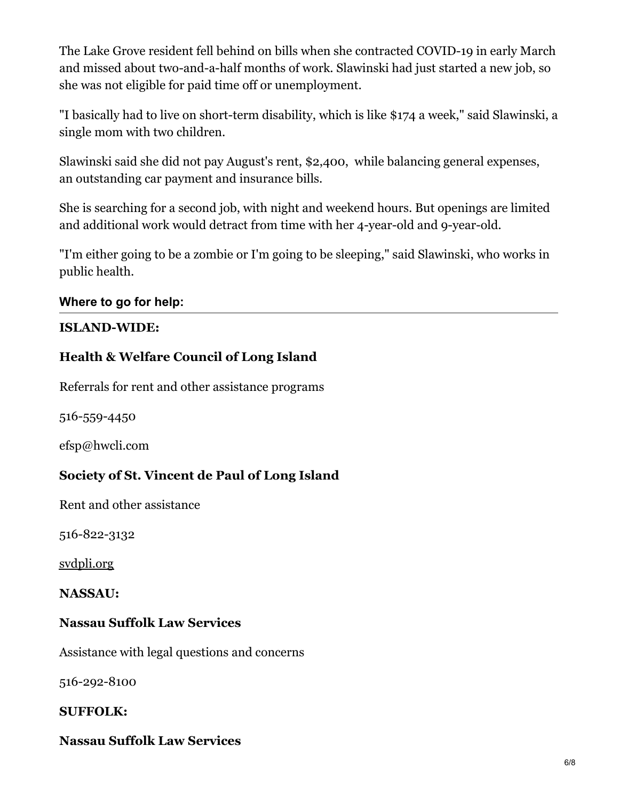The Lake Grove resident fell behind on bills when she contracted COVID-19 in early March and missed about two-and-a-half months of work. Slawinski had just started a new job, so she was not eligible for paid time off or unemployment.

"I basically had to live on short-term disability, which is like \$174 a week," said Slawinski, a single mom with two children.

Slawinski said she did not pay August's rent, \$2,400, while balancing general expenses, an outstanding car payment and insurance bills.

She is searching for a second job, with night and weekend hours. But openings are limited and additional work would detract from time with her 4-year-old and 9-year-old.

"I'm either going to be a zombie or I'm going to be sleeping," said Slawinski, who works in public health.

#### **Where to go for help:**

#### **ISLAND-WIDE:**

#### **Health & Welfare Council of Long Island**

Referrals for rent and other assistance programs

516-559-4450

efsp@hwcli.com

#### **Society of St. Vincent de Paul of Long Island**

Rent and other assistance

516-822-3132

[svdpli.org](http://svdpli.org/)

**NASSAU:**

#### **Nassau Suffolk Law Services**

Assistance with legal questions and concerns

516-292-8100

#### **SUFFOLK:**

#### **Nassau Suffolk Law Services**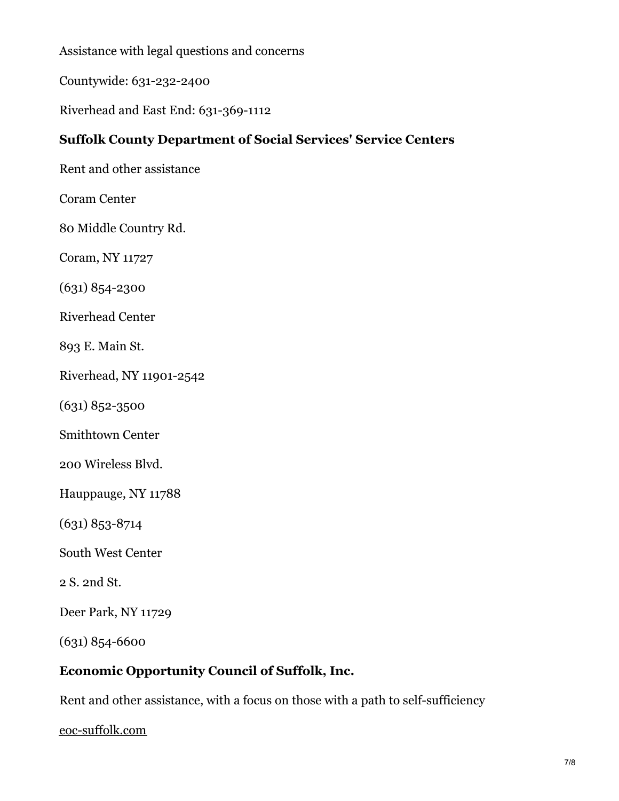Assistance with legal questions and concerns

Countywide: 631-232-2400

Riverhead and East End: 631-369-1112

## **Suffolk County Department of Social Services' Service Centers**

Rent and other assistance

Coram Center

80 Middle Country Rd.

Coram, NY 11727

(631) 854-2300

Riverhead Center

893 E. Main St.

Riverhead, NY 11901-2542

(631) 852-3500

Smithtown Center

200 Wireless Blvd.

Hauppauge, NY 11788

(631) 853-8714

South West Center

2 S. 2nd St.

Deer Park, NY 11729

(631) 854-6600

#### **Economic Opportunity Council of Suffolk, Inc.**

Rent and other assistance, with a focus on those with a path to self-sufficiency

[eoc-suffolk.com](https://eoc-suffolk.com/)